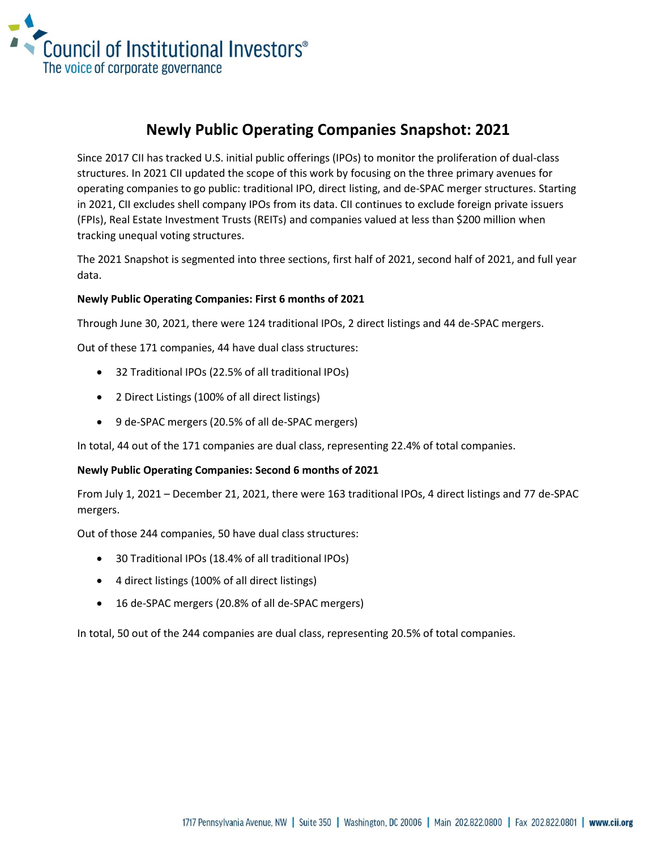

## **Newly Public Operating Companies Snapshot: 2021**

Since 2017 CII has tracked U.S. initial public offerings (IPOs) to monitor the proliferation of dual-class structures. In 2021 CII updated the scope of this work by focusing on the three primary avenues for operating companies to go public: traditional IPO, direct listing, and de-SPAC merger structures. Starting in 2021, CII excludes shell company IPOs from its data. CII continues to exclude foreign private issuers (FPIs), Real Estate Investment Trusts (REITs) and companies valued at less than \$200 million when tracking unequal voting structures.

The 2021 Snapshot is segmented into three sections, first half of 2021, second half of 2021, and full year data.

## **Newly Public Operating Companies: First 6 months of 2021**

Through June 30, 2021, there were 124 traditional IPOs, 2 direct listings and 44 de-SPAC mergers.

Out of these 171 companies, 44 have dual class structures:

- 32 Traditional IPOs (22.5% of all traditional IPOs)
- 2 Direct Listings (100% of all direct listings)
- 9 de-SPAC mergers (20.5% of all de-SPAC mergers)

In total, 44 out of the 171 companies are dual class, representing 22.4% of total companies.

## **Newly Public Operating Companies: Second 6 months of 2021**

From July 1, 2021 – December 21, 2021, there were 163 traditional IPOs, 4 direct listings and 77 de-SPAC mergers.

Out of those 244 companies, 50 have dual class structures:

- 30 Traditional IPOs (18.4% of all traditional IPOs)
- 4 direct listings (100% of all direct listings)
- 16 de-SPAC mergers (20.8% of all de-SPAC mergers)

In total, 50 out of the 244 companies are dual class, representing 20.5% of total companies.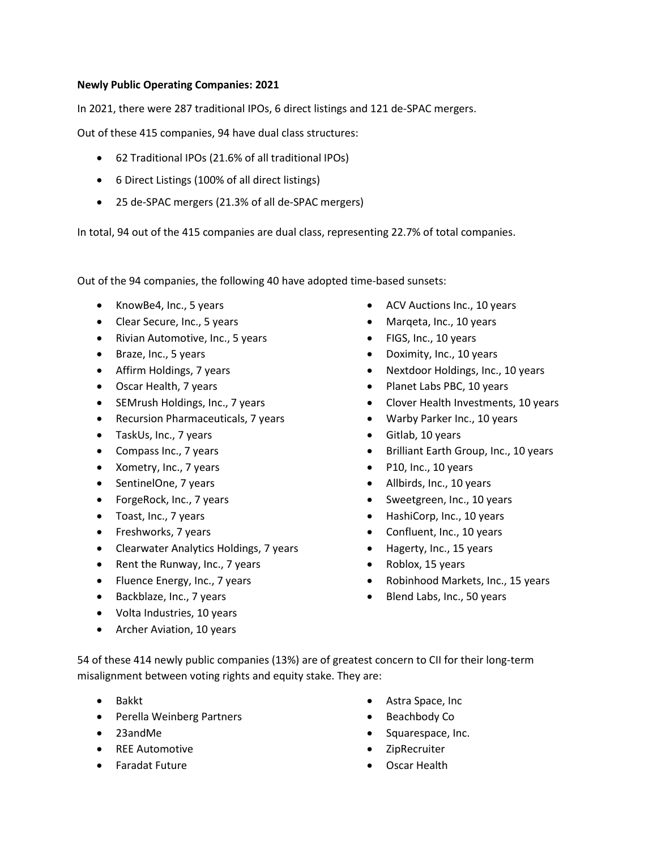## **Newly Public Operating Companies: 2021**

In 2021, there were 287 traditional IPOs, 6 direct listings and 121 de-SPAC mergers.

Out of these 415 companies, 94 have dual class structures:

- 62 Traditional IPOs (21.6% of all traditional IPOs)
- 6 Direct Listings (100% of all direct listings)
- 25 de-SPAC mergers (21.3% of all de-SPAC mergers)

In total, 94 out of the 415 companies are dual class, representing 22.7% of total companies.

Out of the 94 companies, the following 40 have adopted time-based sunsets:

- KnowBe4, Inc., 5 years
- Clear Secure, Inc., 5 years
- Rivian Automotive, Inc., 5 years
- Braze, Inc., 5 years
- Affirm Holdings, 7 years
- Oscar Health, 7 years
- SEMrush Holdings, Inc., 7 years
- Recursion Pharmaceuticals, 7 years
- TaskUs, Inc., 7 years
- Compass Inc., 7 years
- Xometry, Inc., 7 years
- SentinelOne, 7 years
- ForgeRock, Inc., 7 years
- Toast, Inc., 7 years
- Freshworks, 7 years
- Clearwater Analytics Holdings, 7 years
- Rent the Runway, Inc., 7 years
- Fluence Energy, Inc., 7 years
- Backblaze, Inc., 7 years
- Volta Industries, 10 years
- Archer Aviation, 10 years
- ACV Auctions Inc., 10 years
- Margeta, Inc., 10 years
- FIGS, Inc., 10 years
- Doximity, Inc., 10 years
- Nextdoor Holdings, Inc., 10 years
- Planet Labs PBC, 10 years
- Clover Health Investments, 10 years
- Warby Parker Inc., 10 years
- Gitlab, 10 years
- Brilliant Earth Group, Inc., 10 years
- P10, Inc., 10 years
- Allbirds, Inc., 10 years
- Sweetgreen, Inc., 10 years
- HashiCorp, Inc., 10 years
- Confluent, Inc., 10 years
- Hagerty, Inc., 15 years
- Roblox, 15 years
- Robinhood Markets, Inc., 15 years
- Blend Labs, Inc., 50 years

54 of these 414 newly public companies (13%) are of greatest concern to CII for their long-term misalignment between voting rights and equity stake. They are:

- Bakkt
- Perella Weinberg Partners
- 23andMe
- REE Automotive
- Faradat Future
- Astra Space, Inc
- Beachbody Co
- Squarespace, Inc.
- ZipRecruiter
- Oscar Health